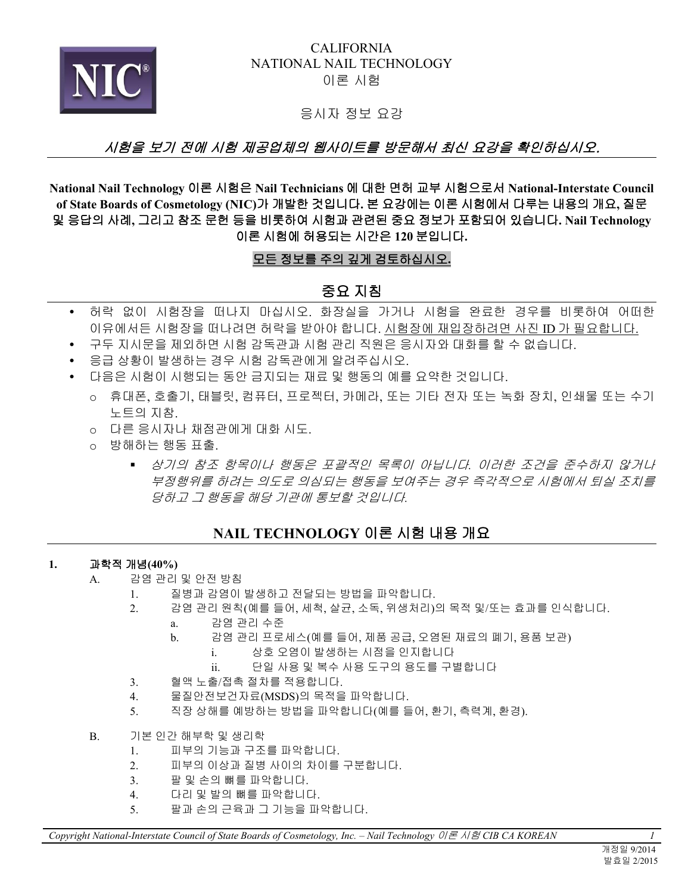

### CALIFORNIA NATIONAL NAIL TECHNOLOGY 이론 시험

### 응시자 정보 요강

# 시험을 보기 전에 시험 제공업체의 웹사이트를 방문해서 최신 요강을 확인하십시오.

**National Nail Technology** 이론 시험은 **Nail Technicians** 에 대한 면허 교부 시험으로서 **National-Interstate Council of State Boards of Cosmetology (NIC)**가 개발한 것입니다**.** 본 요강에는 이론 시험에서 다루는 내용의 개요**,** 질문 및 응답의 사례**,** 그리고 참조 문헌 등을 비롯하여 시험과 관련된 중요 정보가 포함되어 있습니다**. Nail Technology**  이론 시험에 허용되는 시간은 **120** 분입니다**.** 

### 모든 정보를 주의 깊게 검토하십시오 **.**

# 중요 지침

- 허락 없이 시험장을 떠나지 마십시오. 화장실을 가거나 시험을 완료한 경우를 비롯하여 어떠한 이유에서든 시험장을 떠나려면 허락을 받아야 합니다. 시험장에 재입장하려면 사진 ID 가 필요합니다.
	- 구두 지시문을 제외하면 시험 감독관과 시험 관리 직원은 응시자와 대화를 할 수 없습니다.
	- 응급 상황이 발생하는 경우 시험 감독관에게 알려주십시오.
	- \_ 다음은 시험이 시행되는 동안 금지되는 재료 및 행동의 예를 요약한 것입니다.
		- o 휴대폰, 호출기, 태블릿, 컴퓨터, 프로젝터, 카메라, 또는 기타 전자 또는 녹화 장치, 인쇄물 또는 수기 노트의 지참.
		- o 다른 응시자나 채점관에게 대화 시도.
		- o 방해하는 행동 표출.
			- 상기의 참조 항목이나 행동은 포괄적인 목록이 아닙니다*.* 이러한 조건을 준수하지 않거나 부정행위를 하려는 의도로 의심되는 행동을 보여주는 경우 즉각적으로 시험에서 퇴실 조치를 당하고 그 행동을 해당 기관에 통보할 것입니다*.*

# **NAIL TECHNOLOGY** 이론 시험 내용 개요

#### **1.** 과학적 개념**(40%)**

- A. 감염 관리 및 안전 방침
	- 1. 질병과 감염이 발생하고 전달되는 방법을 파악합니다.
	- 2. 감염 관리 원칙(예를 들어, 세척, 살균, 소독, 위생처리)의 목적 및/또는 효과를 인식합니다.
		- a. 감염 관리 수준
		- b. 감염 관리 프로세스(예를 들어, 제품 공급, 오염된 재료의 폐기, 용품 보관)
			- i. 상호 오염이 발생하는 시점을 인지합니다
			- ii. 단일 사용 및 복수 사용 도구의 용도를 구별합니다
	- 3. 혈액 노출/접촉 절차를 적용합니다.
	- 4. 물질안전보건자료(MSDS)의 목적을 파악합니다.
	- 5. 직장 상해를 예방하는 방법을 파악합니다(예를 들어, 환기, 측력계, 환경).
- B. 기본 인간 해부학 및 생리학
	- 1. 피부의 기능과 구조를 파악합니다.
	- 2. 피부의 이상과 질병 사이의 차이를 구분합니다.
	- 3. 팔 및 손의 뼈를 파악합니다.
	- 4. 다리 및 발의 뼈를 파악합니다.
	- 5. 팔과 손의 근육과 그 기능을 파악합니다.

*Copyright National-Interstate Council of State Boards of Cosmetology, Inc. – Nail Technology* 이론 시험 *CIB CA KOREAN 1*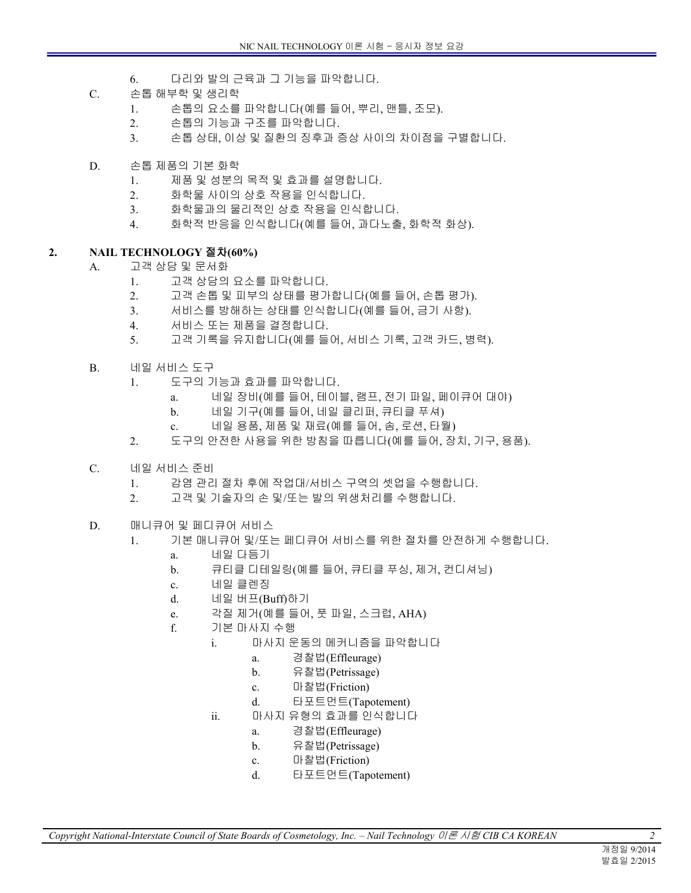- 6. 다리와 발의 근육과 그 기능을 파악합니다.
- C. 손톱 해부학 및 생리학
	- 1. 손톱의 요소를 파악합니다(예를 들어, 뿌리, 맨틀, 조모).
	- 2. 손톱의 기능과 구조를 파악합니다.
	- 3. 손톱 상태, 이상 및 질환의 징후과 증상 사이의 차이점을 구별합니다.
- D. 손톱 제품의 기본 화학
	- 1. 제품 및 성분의 목적 및 효과를 설명합니다.
	- 2. 화학물 사이의 상호 작용을 인식합니다.
	- 3. 화학물과의 물리적인 상호 작용을 인식합니다.
	- 4. 화학적 반응을 인식합니다(예를 들어, 과다노출, 화학적 화상).

#### **2. NAIL TECHNOLOGY** 절차**(60%)**

- A. 고객 상담 및 문서화
	- 1. 고객 상담의 요소를 파악합니다.
	- 2. 고객 손톱 및 피부의 상태를 평가합니다(예를 들어, 손톱 평가).
	- 3. 서비스를 방해하는 상태를 인식합니다(예를 들어, 금기 사항).
	- 4. 서비스 또는 제품을 결정합니다.
	- 5. 고객 기록을 유지합니다(예를 들어, 서비스 기록, 고객 카드, 병력).
- B. 네일 서비스 도구
	- 1. 도구의 기능과 효과를 파악합니다.
		- a. 네일 장비(예를 들어, 테이블, 램프, 전기 파일, 페이큐어 대야)
		- b. 네일 기구(예를 들어, 네일 클리퍼, 큐티클 푸셔)
		- c. 네일 용품, 제품 및 재료(예를 들어, 솜, 로션, 타월)
	- 2. 도구의 안전한 사용을 위한 방침을 따릅니다(예를 들어, 장치, 기구, 용품).
- C. 네일 서비스 준비
	- 1. 감염 관리 절차 후에 작업대/서비스 구역의 셋업을 수행합니다.
	- 2. 고객 및 기술자의 손 및/또는 발의 위생처리를 수행합니다.
- D. 매니큐어 및 페디큐어 서비스
	- 1. 기본 매니큐어 및/또는 페디큐어 서비스를 위한 절차를 안전하게 수행합니다.
		- a. 네일 다듬기
		- b. 큐티클 디테일링(예를 들어, 큐티클 푸싱, 제거, 컨디셔닝)
		- c. 네일 클렌징
		- d. 네일 버프(Buff)하기
		- e. 각질 제거(예를 들어, 풋 파일, 스크럽, AHA)
		- f. 기본 마사지 수행
			- i. 마사지 운동의 메커니즘을 파악합니다
				- a. 경찰법(Effleurage)
				- b. 유찰법(Petrissage)
				- c. 마찰법(Friction)
				- d. 타포트먼트(Tapotement)
			- ii. 마사지 유형의 효과를 인식합니다
				- a. 경찰법(Effleurage)
				- b. 유찰법(Petrissage)
				- c. 마찰법(Friction)
				- d. 타포트먼트(Tapotement)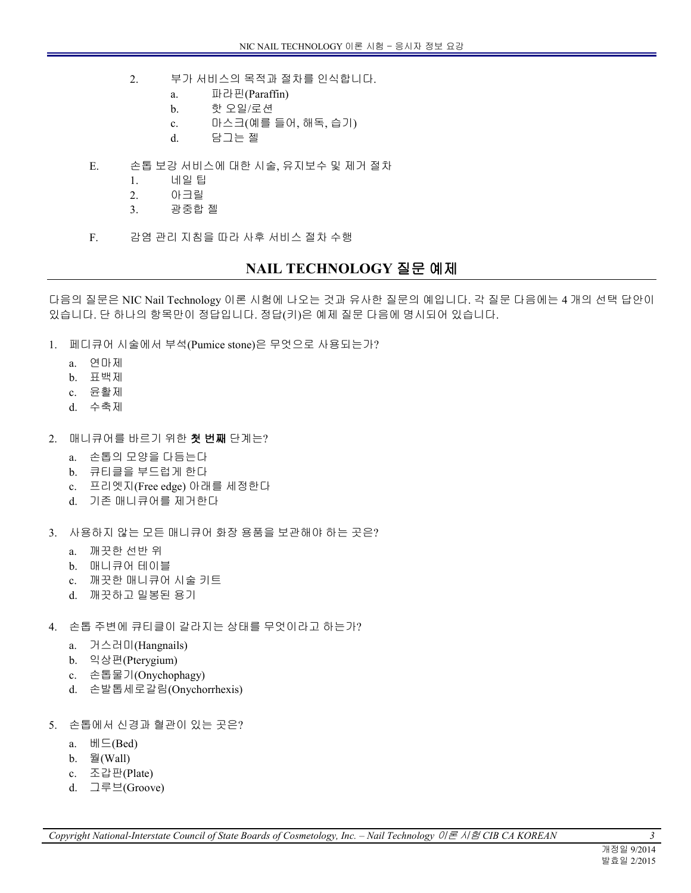- 2. 부가 서비스의 목적과 절차를 인식합니다.
	- a. 파라핀(Paraffin)
	- b. 핫 오일/로션
	- c. 마스크(예를 들어, 해독, 습기)
	- d. 담그는 젤
- E. 손톱 보강 서비스에 대한 시술, 유지보수 및 제거 절차
	- 1. 네일 팁
	- 2. 아크릴
	- 3. 광중합 젤
- F. 감염 관리 지침을 따라 사후 서비스 절차 수행

# **NAIL TECHNOLOGY** 질문 예제

다음의 질문은 NIC Nail Technology 이론 시험에 나오는 것과 유사한 질문의 예입니다. 각 질문 다음에는 4 개의 선택 답안이 있습니다. 단 하나의 항목만이 정답입니다. 정답(키)은 예제 질문 다음에 명시되어 있습니다.

- 1. 페디큐어 시술에서 부석(Pumice stone)은 무엇으로 사용되는가?
	- a. 연마제
	- b. 표백제
	- c. 윤활제
	- d. 수축제
- 2. 매니큐어를 바르기 위한 첫 번째 단계는?
	- a. 손톱의 모양을 다듬는다
	- b. 큐티클을 부드럽게 한다
	- c. 프리엣지(Free edge) 아래를 세정한다
	- d. 기존 매니큐어를 제거한다
- 3. 사용하지 않는 모든 매니큐어 화장 용품을 보관해야 하는 곳은?
	- a. 깨끗한 선반 위
	- b. 매니큐어 테이블
	- c. 깨끗한 매니큐어 시술 키트
	- d. 깨끗하고 밀봉된 용기
- 4. 손톱 주변에 큐티클이 갈라지는 상태를 무엇이라고 하는가?
	- a. 거스러미(Hangnails)
	- b. 익상편(Pterygium)
	- c. 손톱물기(Onychophagy)
	- d. 손발톱세로갈림(Onychorrhexis)
- 5. 손톱에서 신경과 혈관이 있는 곳은?
	- a. 베드(Bed)
	- b. 월(Wall)
	- c. 조갑판(Plate)
	- d. 그루브(Groove)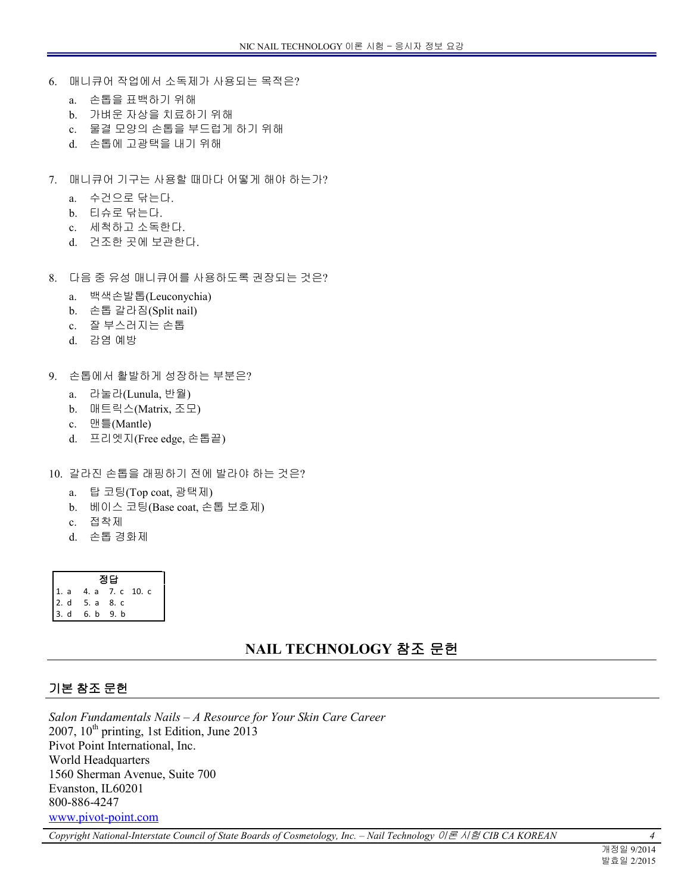- 6. 매니큐어 작업에서 소독제가 사용되는 목적은?
	- a. 손톱을 표백하기 위해
	- b. 가벼운 자상을 치료하기 위해
	- c. 물결 모양의 손톱을 부드럽게 하기 위해
	- d. 손톱에 고광택을 내기 위해
- 7. 매니큐어 기구는 사용할 때마다 어떻게 해야 하는가?
	- a. 수건으로 닦는다.
	- b. 티슈로 닦는다.
	- c. 세척하고 소독한다.
	- d. 건조한 곳에 보관한다.
- 8. 다음 중 유성 매니큐어를 사용하도록 권장되는 것은?
	- a. 백색손발톱(Leuconychia)
	- b. 손톱 갈라짐(Split nail)
	- c. 잘 부스러지는 손톱
	- d. 감염 예방
- 9. 손톱에서 활발하게 성장하는 부분은?
	- a. 라눌라(Lunula, 반월)
	- b. 매트릭스(Matrix, 조모)
	- c. 맨틀(Mantle)
	- d. 프리엣지(Free edge, 손톱끝)
- 10. 갈라진 손톱을 래핑하기 전에 발라야 하는 것은?
	- a. 탑 코팅(Top coat, 광택제)
	- b. 베이스 코팅(Base coat, 손톱 보호제)
	- c. 접착제
	- d. 손톱 경화제

| 정답 |                                                    |  |  |
|----|----------------------------------------------------|--|--|
|    | 4. a 7. c 10. c                                    |  |  |
|    |                                                    |  |  |
|    | 1. a 4. a 7. c<br>2. d 5. a 8. c<br>3. d 6. b 9. b |  |  |

# **NAIL TECHNOLOGY** 참조 문헌

#### 기본 참조 문헌

*Salon Fundamentals Nails – A Resource for Your Skin Care Career*   $2007$ ,  $10<sup>th</sup>$  printing, 1st Edition, June 2013 Pivot Point International, Inc. World Headquarters 1560 Sherman Avenue, Suite 700 Evanston, IL60201 800-886-4247 <www.pivot-point.com>

*Copyright National-Interstate Council of State Boards of Cosmetology, Inc. – Nail Technology* 이론 시험 *CIB CA KOREAN 4*